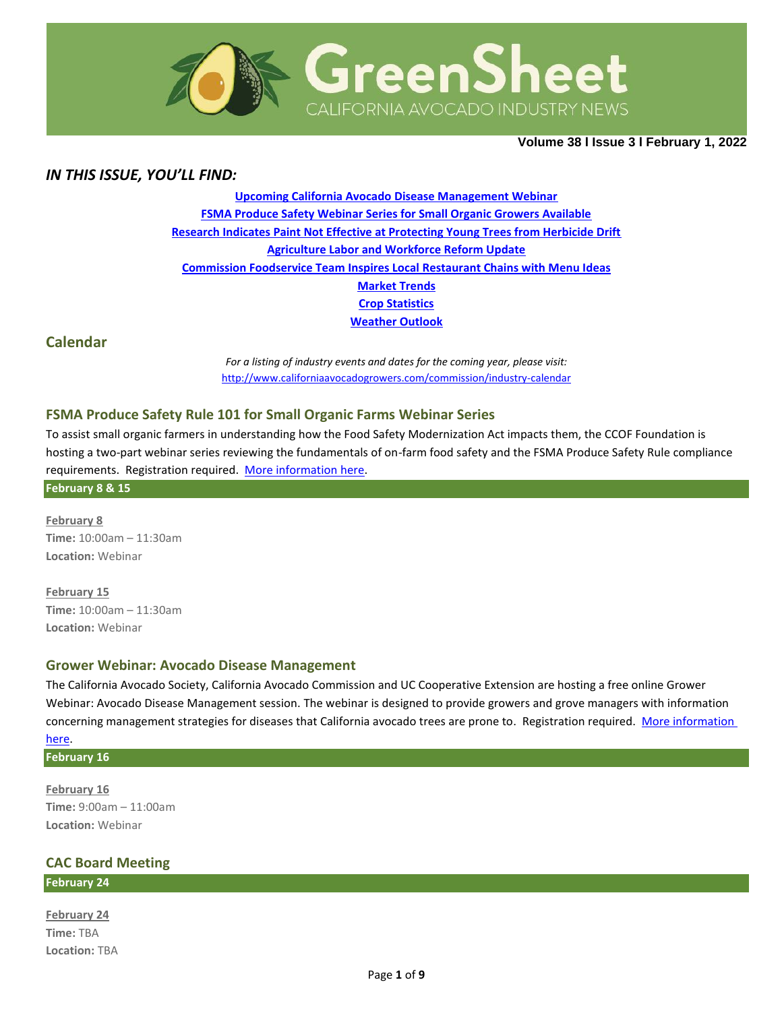

**Volume 38 Ι Issue 3 Ι February 1, 2022**

### *IN THIS ISSUE, YOU'LL FIND:*

### **[Upcoming California Avocado Disease Management Webinar](#page-1-0) [FSMA Produce Safety Webinar Series for Small Organic Growers Available](#page-1-1) [Research Indicates Paint Not Effective at Protecting Young Trees from Herbicide Drift](#page-1-2) [Agriculture Labor and Workforce Reform Update](#page-2-0) [Commission Foodservice Team Inspires Local](#page-2-1) Restaurant Chains with Menu Ideas [Market](#page-4-0) Trends Crop [Statistics](#page-5-0) [Weather Outlook](#page-6-0)**

### **Calendar**

*For a listing of industry events and dates for the coming year, please visit:*  <http://www.californiaavocadogrowers.com/commission/industry-calendar>

### **FSMA Produce Safety Rule 101 for Small Organic Farms Webinar Series**

To assist small organic farmers in understanding how the Food Safety Modernization Act impacts them, the CCOF Foundation is hosting a two-part webinar series reviewing the fundamentals of on-farm food safety and the FSMA Produce Safety Rule compliance requirements. Registration required. [More information](https://www.californiaavocadogrowers.com/event/fsma-produce-safety-rule-101-small-organic-farms-webinar-series) here.

#### **February 8 & 15**

**February 8 Time:** 10:00am – 11:30am **Location:** Webinar

**February 15 Time:** 10:00am – 11:30am **Location:** Webinar

#### **Grower Webinar: Avocado Disease Management**

The California Avocado Society, California Avocado Commission and UC Cooperative Extension are hosting a free online Grower Webinar: Avocado Disease Management session. The webinar is designed to provide growers and grove managers with information concerning management strategies for diseases that California avocado trees are prone to. Registration required. [More information](https://www.californiaavocadogrowers.com/event/grower-webinar-avocado-disease-management) [here.](https://www.californiaavocadogrowers.com/event/grower-webinar-avocado-disease-management)

### **February 16**

**February 16 Time:** 9:00am – 11:00am **Location:** Webinar

### **CAC Board Meeting**

#### **February 24**

**February 24 Time:** TBA **Location:** TBA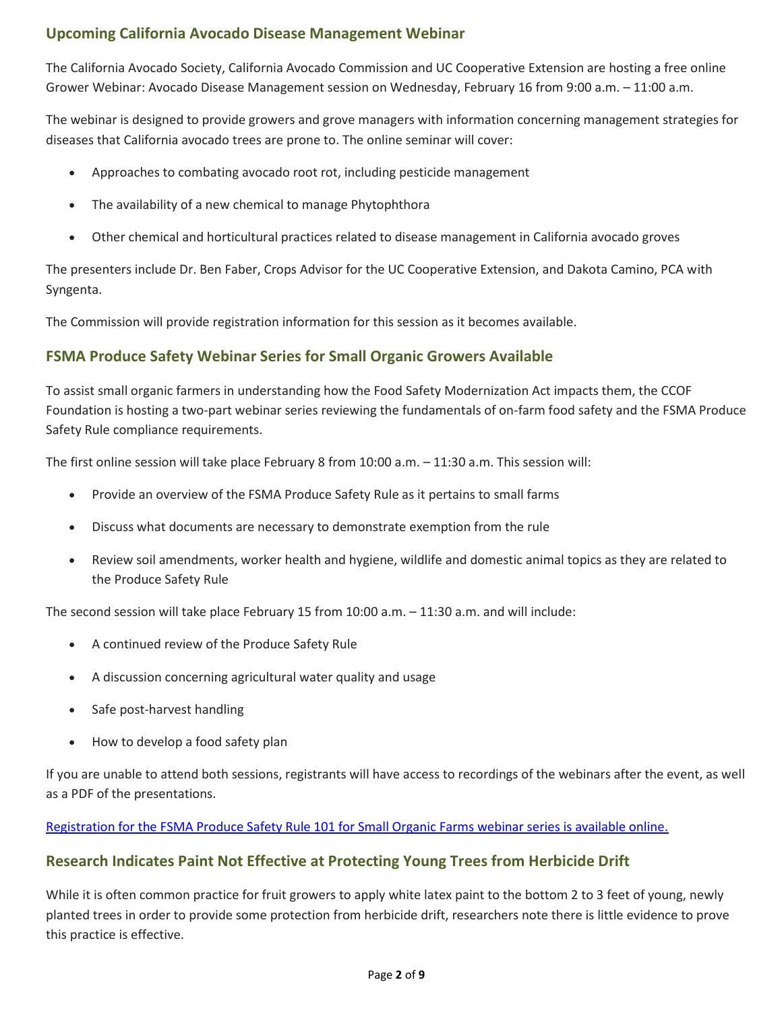## <span id="page-1-0"></span>**Upcoming California Avocado Disease Management Webinar**

The California Avocado Society, California Avocado Commission and UC Cooperative Extension are hosting a free online Grower Webinar: Avocado Disease Management session on Wednesday, February 16 from 9:00 a.m. – 11:00 a.m.

The webinar is designed to provide growers and grove managers with information concerning management strategies for diseases that California avocado trees are prone to. The online seminar will cover:

- Approaches to combating avocado root rot, including pesticide management
- The availability of a new chemical to manage Phytophthora
- Other chemical and horticultural practices related to disease management in California avocado groves

The presenters include Dr. Ben Faber, Crops Advisor for the UC Cooperative Extension, and Dakota Camino, PCA with Syngenta.

The Commission will provide registration information for this session as it becomes available.

## <span id="page-1-1"></span>**FSMA Produce Safety Webinar Series for Small Organic Growers Available**

To assist small organic farmers in understanding how the Food Safety Modernization Act impacts them, the CCOF Foundation is hosting a two-part webinar series reviewing the fundamentals of on-farm food safety and the FSMA Produce Safety Rule compliance requirements.

The first online session will take place February 8 from 10:00 a.m. – 11:30 a.m. This session will:

- Provide an overview of the FSMA Produce Safety Rule as it pertains to small farms
- Discuss what documents are necessary to demonstrate exemption from the rule
- Review soil amendments, worker health and hygiene, wildlife and domestic animal topics as they are related to the Produce Safety Rule

The second session will take place February 15 from 10:00 a.m. – 11:30 a.m. and will include:

- A continued review of the Produce Safety Rule
- A discussion concerning agricultural water quality and usage
- Safe post-harvest handling
- How to develop a food safety plan

If you are unable to attend both sessions, registrants will have access to recordings of the webinars after the event, as well as a PDF of the presentations.

[Registration for the FSMA Produce Safety Rule 101 for Small Organic Farms webinar series is available online.](https://ccof.zoom.us/webinar/register/WN_F9W8TzbySreirbVgXLZKUA)

### <span id="page-1-2"></span>**Research Indicates Paint Not Effective at Protecting Young Trees from Herbicide Drift**

While it is often common practice for fruit growers to apply white latex paint to the bottom 2 to 3 feet of young, newly planted trees in order to provide some protection from herbicide drift, researchers note there is little evidence to prove this practice is effective.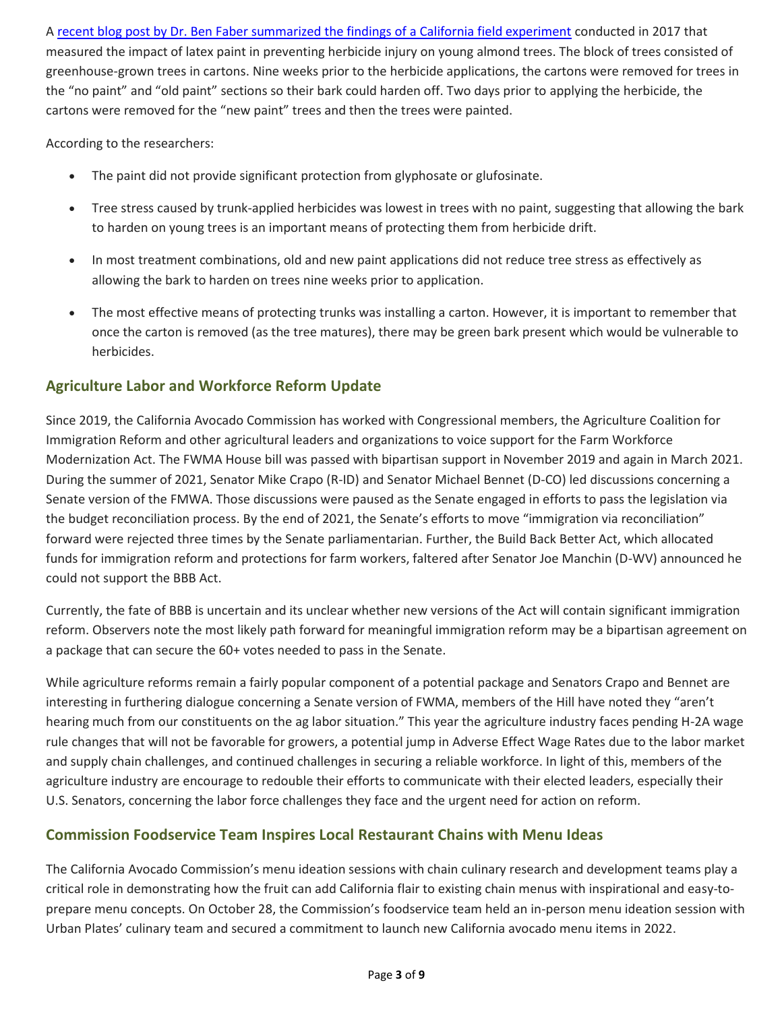A [recent blog post by Dr. Ben Faber summarized the findings of a California field experiment](https://ucanr.edu/blogs/blogcore/postdetail.cfm?postnum=51228) conducted in 2017 that measured the impact of latex paint in preventing herbicide injury on young almond trees. The block of trees consisted of greenhouse-grown trees in cartons. Nine weeks prior to the herbicide applications, the cartons were removed for trees in the "no paint" and "old paint" sections so their bark could harden off. Two days prior to applying the herbicide, the cartons were removed for the "new paint" trees and then the trees were painted.

According to the researchers:

- The paint did not provide significant protection from glyphosate or glufosinate.
- Tree stress caused by trunk-applied herbicides was lowest in trees with no paint, suggesting that allowing the bark to harden on young trees is an important means of protecting them from herbicide drift.
- In most treatment combinations, old and new paint applications did not reduce tree stress as effectively as allowing the bark to harden on trees nine weeks prior to application.
- The most effective means of protecting trunks was installing a carton. However, it is important to remember that once the carton is removed (as the tree matures), there may be green bark present which would be vulnerable to herbicides.

# <span id="page-2-0"></span>**Agriculture Labor and Workforce Reform Update**

Since 2019, the California Avocado Commission has worked with Congressional members, the Agriculture Coalition for Immigration Reform and other agricultural leaders and organizations to voice support for the Farm Workforce Modernization Act. The FWMA House bill was passed with bipartisan support in November 2019 and again in March 2021. During the summer of 2021, Senator Mike Crapo (R-ID) and Senator Michael Bennet (D-CO) led discussions concerning a Senate version of the FMWA. Those discussions were paused as the Senate engaged in efforts to pass the legislation via the budget reconciliation process. By the end of 2021, the Senate's efforts to move "immigration via reconciliation" forward were rejected three times by the Senate parliamentarian. Further, the Build Back Better Act, which allocated funds for immigration reform and protections for farm workers, faltered after Senator Joe Manchin (D-WV) announced he could not support the BBB Act.

Currently, the fate of BBB is uncertain and its unclear whether new versions of the Act will contain significant immigration reform. Observers note the most likely path forward for meaningful immigration reform may be a bipartisan agreement on a package that can secure the 60+ votes needed to pass in the Senate.

While agriculture reforms remain a fairly popular component of a potential package and Senators Crapo and Bennet are interesting in furthering dialogue concerning a Senate version of FWMA, members of the Hill have noted they "aren't hearing much from our constituents on the ag labor situation." This year the agriculture industry faces pending H-2A wage rule changes that will not be favorable for growers, a potential jump in Adverse Effect Wage Rates due to the labor market and supply chain challenges, and continued challenges in securing a reliable workforce. In light of this, members of the agriculture industry are encourage to redouble their efforts to communicate with their elected leaders, especially their U.S. Senators, concerning the labor force challenges they face and the urgent need for action on reform.

# <span id="page-2-1"></span>**Commission Foodservice Team Inspires Local Restaurant Chains with Menu Ideas**

The California Avocado Commission's menu ideation sessions with chain culinary research and development teams play a critical role in demonstrating how the fruit can add California flair to existing chain menus with inspirational and easy-toprepare menu concepts. On October 28, the Commission's foodservice team held an in-person menu ideation session with Urban Plates' culinary team and secured a commitment to launch new California avocado menu items in 2022.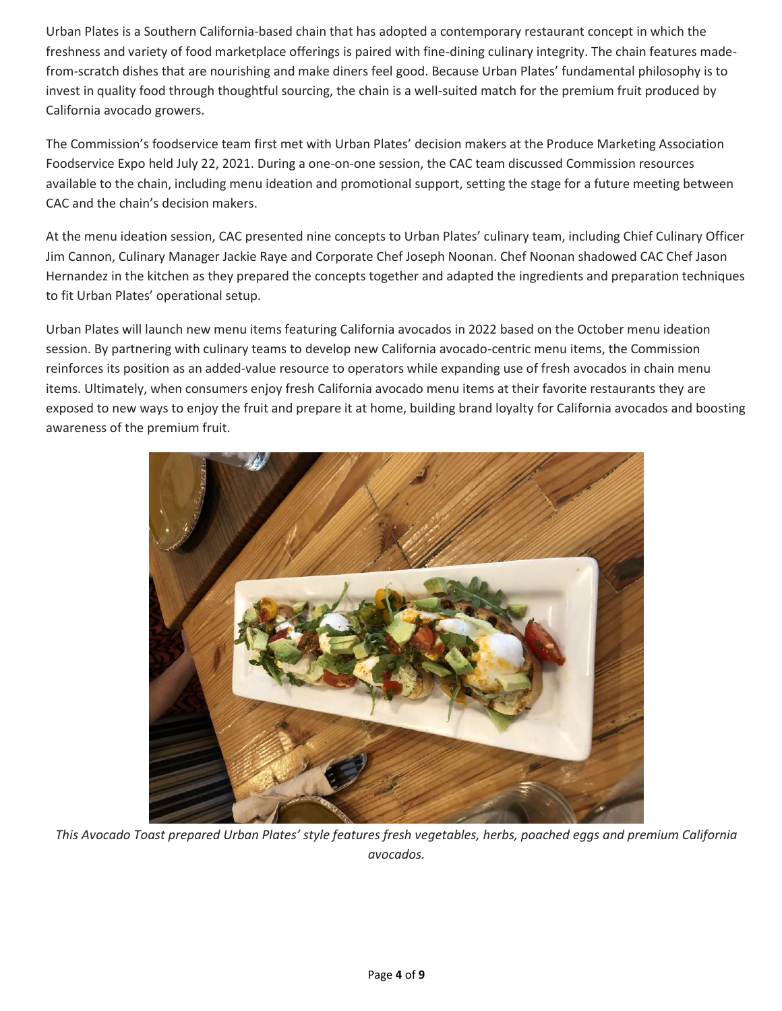Urban Plates is a Southern California-based chain that has adopted a contemporary restaurant concept in which the freshness and variety of food marketplace offerings is paired with fine-dining culinary integrity. The chain features madefrom-scratch dishes that are nourishing and make diners feel good. Because Urban Plates' fundamental philosophy is to invest in quality food through thoughtful sourcing, the chain is a well-suited match for the premium fruit produced by California avocado growers.

The Commission's foodservice team first met with Urban Plates' decision makers at the Produce Marketing Association Foodservice Expo held July 22, 2021. During a one-on-one session, the CAC team discussed Commission resources available to the chain, including menu ideation and promotional support, setting the stage for a future meeting between CAC and the chain's decision makers.

At the menu ideation session, CAC presented nine concepts to Urban Plates' culinary team, including Chief Culinary Officer Jim Cannon, Culinary Manager Jackie Raye and Corporate Chef Joseph Noonan. Chef Noonan shadowed CAC Chef Jason Hernandez in the kitchen as they prepared the concepts together and adapted the ingredients and preparation techniques to fit Urban Plates' operational setup.

Urban Plates will launch new menu items featuring California avocados in 2022 based on the October menu ideation session. By partnering with culinary teams to develop new California avocado-centric menu items, the Commission reinforces its position as an added-value resource to operators while expanding use of fresh avocados in chain menu items. Ultimately, when consumers enjoy fresh California avocado menu items at their favorite restaurants they are exposed to new ways to enjoy the fruit and prepare it at home, building brand loyalty for California avocados and boosting awareness of the premium fruit.



*This Avocado Toast prepared Urban Plates' style features fresh vegetables, herbs, poached eggs and premium California avocados.*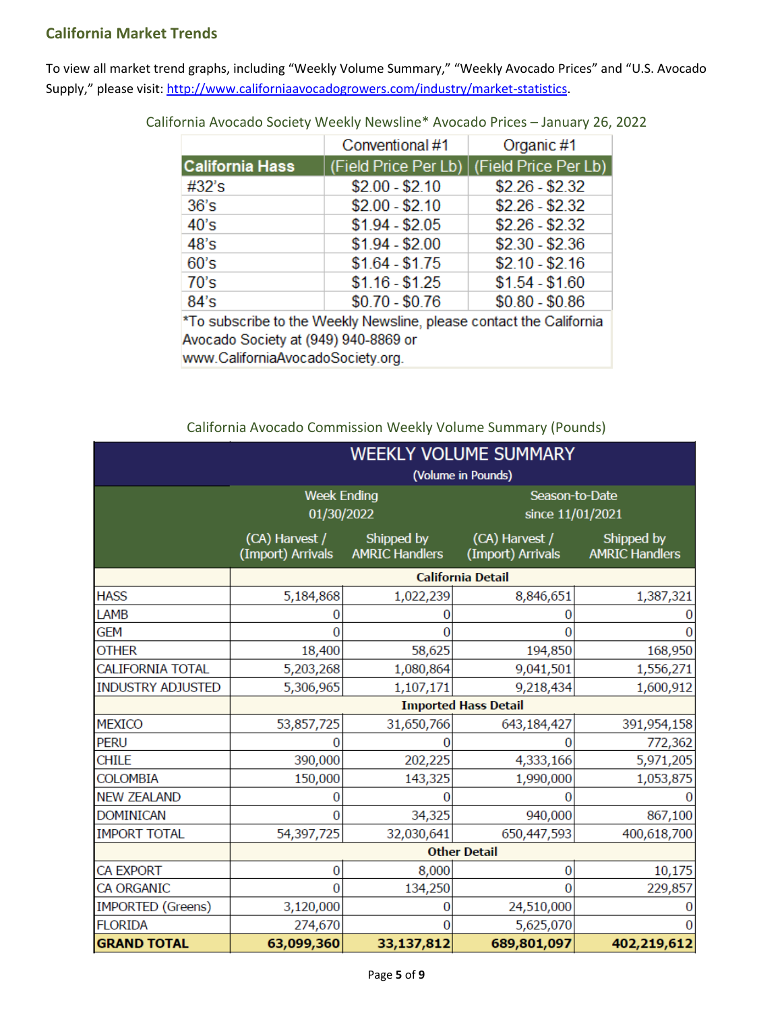## <span id="page-4-0"></span>**California Market Trends**

To view all market trend graphs, including "Weekly Volume Summary," "Weekly Avocado Prices" and "U.S. Avocado Supply," please visit[: http://www.californiaavocadogrowers.com/industry/market-statistics.](http://www.californiaavocadogrowers.com/industry/market-statistics)

|                                                                     | Conventional #1 | Organic #1                                  |  |  |  |
|---------------------------------------------------------------------|-----------------|---------------------------------------------|--|--|--|
| <b>California Hass</b>                                              |                 | (Field Price Per Lb)   (Field Price Per Lb) |  |  |  |
| #32's                                                               | $$2.00 - $2.10$ | $$2.26 - $2.32$                             |  |  |  |
| 36's                                                                | $$2.00 - $2.10$ | $$2.26 - $2.32$                             |  |  |  |
| 40's                                                                | $$1.94 - $2.05$ | $$2.26 - $2.32$                             |  |  |  |
| 48's                                                                | $$1.94 - $2.00$ | $$2.30 - $2.36$                             |  |  |  |
| 60's                                                                | $$1.64 - $1.75$ | $$2.10 - $2.16$                             |  |  |  |
| 70's                                                                | $$1.16 - $1.25$ | $$1.54 - $1.60$                             |  |  |  |
| 84's                                                                | $$0.70 - $0.76$ | $$0.80 - $0.86$                             |  |  |  |
| *To subscribe to the Weekly Newsline, please contact the California |                 |                                             |  |  |  |

California Avocado Society Weekly Newsline\* Avocado Prices – January 26, 2022

Avocado Society at (949) 940-8869 or www.CaliforniaAvocadoSociety.org.

California Avocado Commission Weekly Volume Summary (Pounds)

|                          | <b>WEEKLY VOLUME SUMMARY</b>        |                                     |                                     |                                     |  |
|--------------------------|-------------------------------------|-------------------------------------|-------------------------------------|-------------------------------------|--|
|                          | (Volume in Pounds)                  |                                     |                                     |                                     |  |
|                          | <b>Week Ending</b>                  |                                     | Season-to-Date                      |                                     |  |
|                          | 01/30/2022                          |                                     | since 11/01/2021                    |                                     |  |
|                          | (CA) Harvest /<br>(Import) Arrivals | Shipped by<br><b>AMRIC Handlers</b> | (CA) Harvest /<br>(Import) Arrivals | Shipped by<br><b>AMRIC Handlers</b> |  |
|                          | <b>California Detail</b>            |                                     |                                     |                                     |  |
| <b>HASS</b>              | 5,184,868                           | 1,022,239                           | 8,846,651                           | 1,387,321                           |  |
| <b>LAMB</b>              |                                     |                                     |                                     |                                     |  |
| <b>GEM</b>               |                                     |                                     |                                     |                                     |  |
| <b>OTHER</b>             | 18,400                              | 58,625                              | 194,850                             | 168,950                             |  |
| <b>CALIFORNIA TOTAL</b>  | 5,203,268                           | 1,080,864                           | 9,041,501                           | 1,556,271                           |  |
| <b>INDUSTRY ADJUSTED</b> | 5,306,965                           | 1,107,171                           | 9,218,434                           | 1,600,912                           |  |
|                          | <b>Imported Hass Detail</b>         |                                     |                                     |                                     |  |
| <b>MEXICO</b>            | 53,857,725                          | 31,650,766                          | 643,184,427                         | 391,954,158                         |  |
| <b>PERU</b>              |                                     |                                     |                                     | 772,362                             |  |
| <b>CHILE</b>             | 390,000                             | 202,225                             | 4,333,166                           | 5,971,205                           |  |
| <b>COLOMBIA</b>          | 150,000                             | 143,325                             | 1,990,000                           | 1,053,875                           |  |
| <b>NEW ZEALAND</b>       | 0                                   |                                     |                                     |                                     |  |
| <b>DOMINICAN</b>         | O                                   | 34,325                              | 940,000                             | 867,100                             |  |
| <b>IMPORT TOTAL</b>      | 54,397,725                          | 32,030,641                          | 650,447,593                         | 400,618,700                         |  |
|                          | <b>Other Detail</b>                 |                                     |                                     |                                     |  |
| <b>CA EXPORT</b>         | 0                                   | 8,000                               | 0                                   | 10,175                              |  |
| <b>CA ORGANIC</b>        | $\overline{0}$                      | 134,250                             | 0                                   | 229,857                             |  |
| <b>IMPORTED (Greens)</b> | 3,120,000                           | 0                                   | 24,510,000                          |                                     |  |
| <b>FLORIDA</b>           | 274,670                             | O                                   | 5,625,070                           |                                     |  |
| <b>GRAND TOTAL</b>       | 63,099,360                          | 33,137,812                          | 689,801,097                         | 402,219,612                         |  |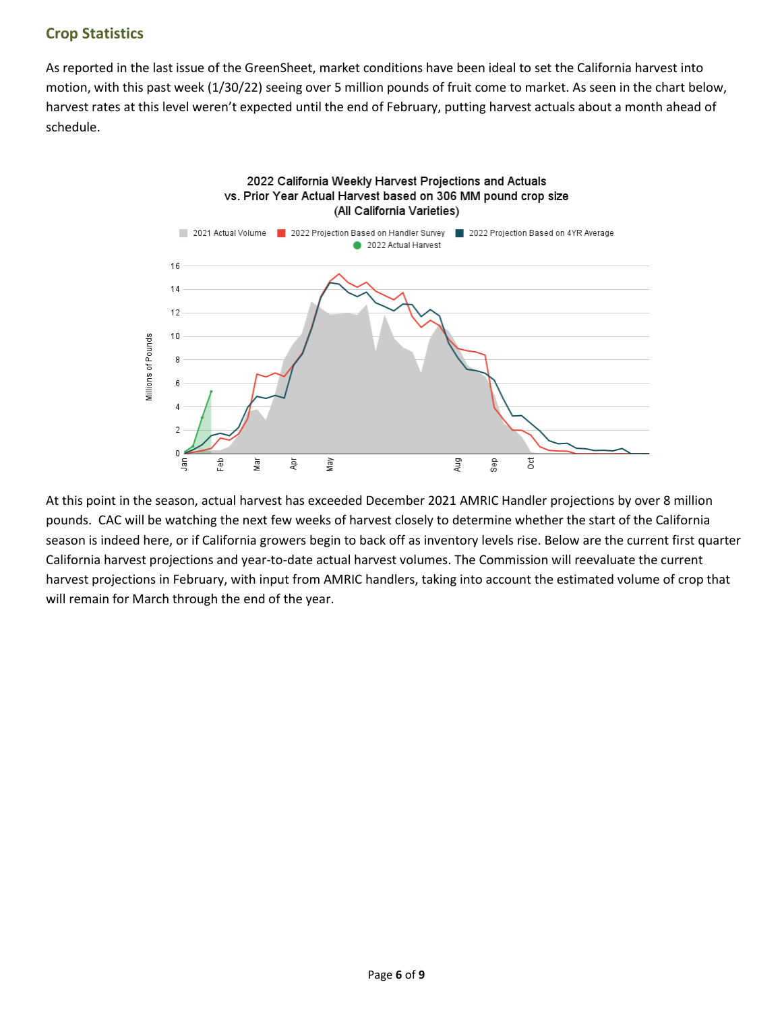# <span id="page-5-0"></span>**Crop Statistics**

As reported in the last issue of the GreenSheet, market conditions have been ideal to set the California harvest into motion, with this past week (1/30/22) seeing over 5 million pounds of fruit come to market. As seen in the chart below, harvest rates at this level weren't expected until the end of February, putting harvest actuals about a month ahead of schedule.



At this point in the season, actual harvest has exceeded December 2021 AMRIC Handler projections by over 8 million pounds. CAC will be watching the next few weeks of harvest closely to determine whether the start of the California season is indeed here, or if California growers begin to back off as inventory levels rise. Below are the current first quarter California harvest projections and year-to-date actual harvest volumes. The Commission will reevaluate the current harvest projections in February, with input from AMRIC handlers, taking into account the estimated volume of crop that will remain for March through the end of the year.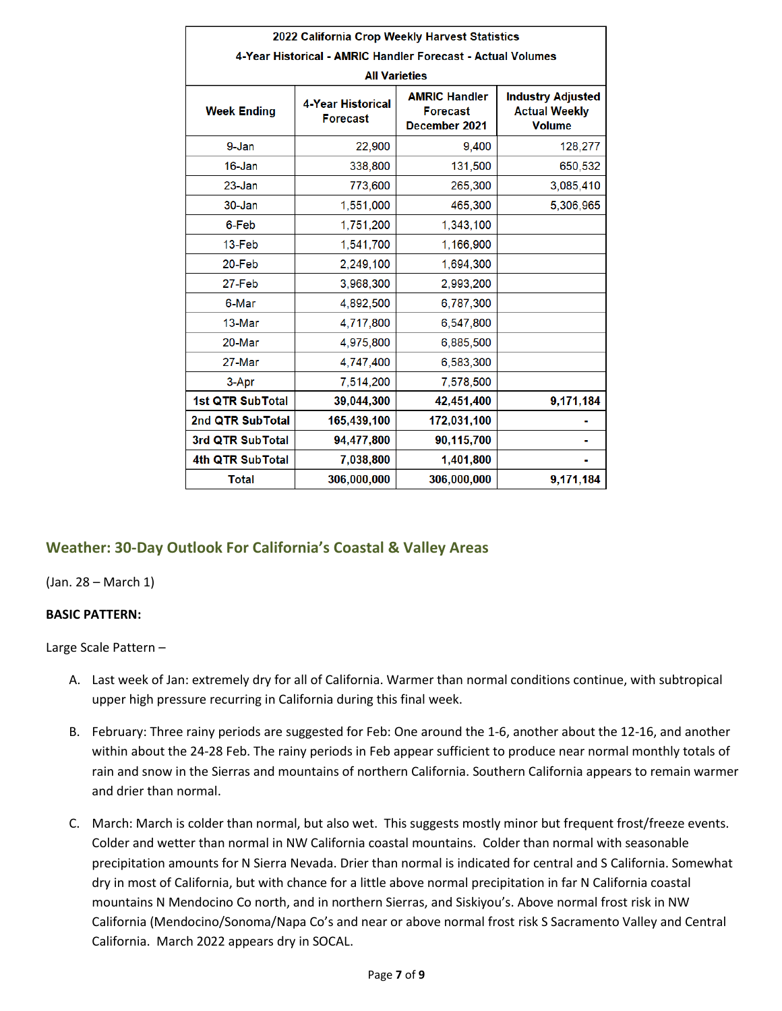| 2022 California Crop Weekly Harvest Statistics              |                                             |                                                          |                                                                   |  |  |  |
|-------------------------------------------------------------|---------------------------------------------|----------------------------------------------------------|-------------------------------------------------------------------|--|--|--|
| 4-Year Historical - AMRIC Handler Forecast - Actual Volumes |                                             |                                                          |                                                                   |  |  |  |
| <b>All Varieties</b>                                        |                                             |                                                          |                                                                   |  |  |  |
| <b>Week Ending</b>                                          | <b>4-Year Historical</b><br><b>Forecast</b> | <b>AMRIC Handler</b><br><b>Forecast</b><br>December 2021 | <b>Industry Adjusted</b><br><b>Actual Weekly</b><br><b>Volume</b> |  |  |  |
| 9-Jan                                                       | 22,900                                      | 9,400                                                    | 128,277                                                           |  |  |  |
| 16-Jan                                                      | 338,800                                     | 131,500                                                  | 650,532                                                           |  |  |  |
| $23 - Jan$                                                  | 773,600                                     | 265,300                                                  | 3,085,410                                                         |  |  |  |
| 30-Jan                                                      | 1,551,000                                   | 465,300                                                  | 5,306,965                                                         |  |  |  |
| 6-Feb                                                       | 1,751,200                                   | 1,343,100                                                |                                                                   |  |  |  |
| 13-Feb                                                      | 1,541,700                                   | 1,166,900                                                |                                                                   |  |  |  |
| 20-Feb                                                      | 2,249,100                                   | 1,694,300                                                |                                                                   |  |  |  |
| 27-Feb                                                      | 3,968,300                                   | 2,993,200                                                |                                                                   |  |  |  |
| 6-Mar                                                       | 4,892,500                                   | 6,787,300                                                |                                                                   |  |  |  |
| 13-Mar                                                      | 4,717,800                                   | 6,547,800                                                |                                                                   |  |  |  |
| 20-Mar                                                      | 4,975,800                                   | 6,885,500                                                |                                                                   |  |  |  |
| 27-Mar                                                      | 4,747,400                                   | 6,583,300                                                |                                                                   |  |  |  |
| 3-Apr                                                       | 7,514,200                                   | 7,578,500                                                |                                                                   |  |  |  |
| <b>1st QTR SubTotal</b>                                     | 39,044,300                                  | 42,451,400                                               | 9,171,184                                                         |  |  |  |
| 2nd QTR SubTotal                                            | 165,439,100                                 | 172,031,100                                              |                                                                   |  |  |  |
| 3rd QTR SubTotal                                            | 94,477,800                                  | 90,115,700                                               |                                                                   |  |  |  |
| 4th QTR SubTotal                                            | 7,038,800                                   | 1,401,800                                                |                                                                   |  |  |  |
| <b>Total</b>                                                | 306,000,000                                 | 306,000,000                                              | 9,171,184                                                         |  |  |  |

## <span id="page-6-0"></span>**Weather: 30-Day Outlook For California's Coastal & Valley Areas**

(Jan. 28 – March 1)

### **BASIC PATTERN:**

Large Scale Pattern –

- A. Last week of Jan: extremely dry for all of California. Warmer than normal conditions continue, with subtropical upper high pressure recurring in California during this final week.
- B. February: Three rainy periods are suggested for Feb: One around the 1-6, another about the 12-16, and another within about the 24-28 Feb. The rainy periods in Feb appear sufficient to produce near normal monthly totals of rain and snow in the Sierras and mountains of northern California. Southern California appears to remain warmer and drier than normal.
- C. March: March is colder than normal, but also wet. This suggests mostly minor but frequent frost/freeze events. Colder and wetter than normal in NW California coastal mountains. Colder than normal with seasonable precipitation amounts for N Sierra Nevada. Drier than normal is indicated for central and S California. Somewhat dry in most of California, but with chance for a little above normal precipitation in far N California coastal mountains N Mendocino Co north, and in northern Sierras, and Siskiyou's. Above normal frost risk in NW California (Mendocino/Sonoma/Napa Co's and near or above normal frost risk S Sacramento Valley and Central California. March 2022 appears dry in SOCAL.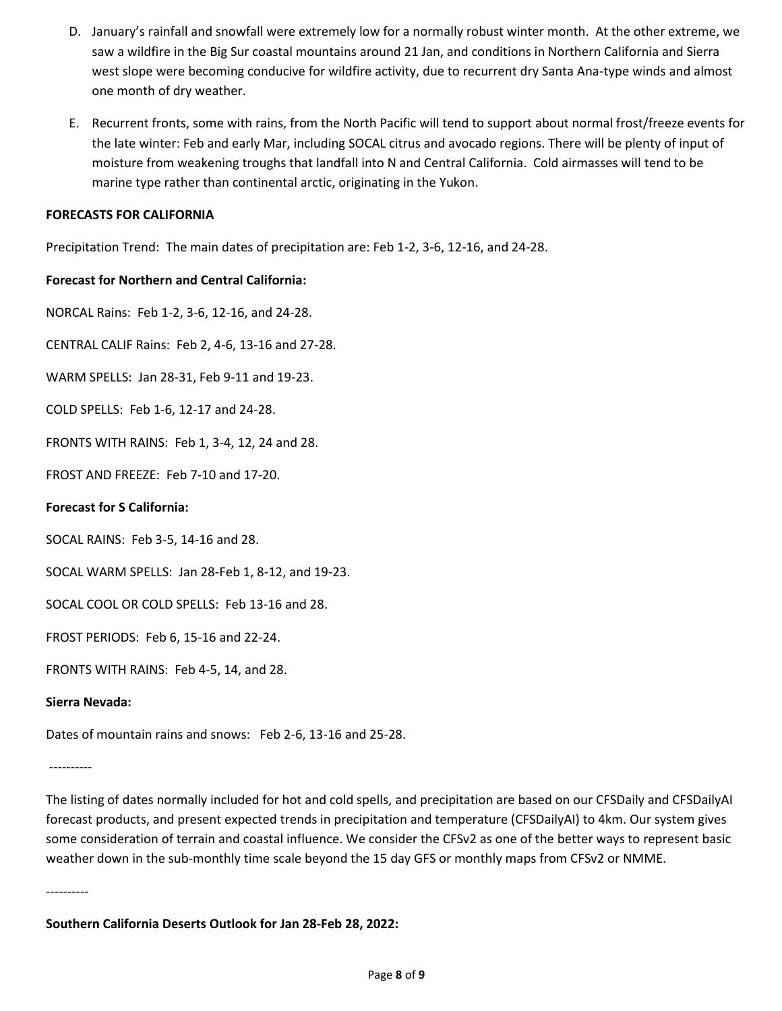- D. January's rainfall and snowfall were extremely low for a normally robust winter month. At the other extreme, we saw a wildfire in the Big Sur coastal mountains around 21 Jan, and conditions in Northern California and Sierra west slope were becoming conducive for wildfire activity, due to recurrent dry Santa Ana-type winds and almost one month of dry weather.
- E. Recurrent fronts, some with rains, from the North Pacific will tend to support about normal frost/freeze events for the late winter: Feb and early Mar, including SOCAL citrus and avocado regions. There will be plenty of input of moisture from weakening troughs that landfall into N and Central California. Cold airmasses will tend to be marine type rather than continental arctic, originating in the Yukon.

#### **FORECASTS FOR CALIFORNIA**

Precipitation Trend: The main dates of precipitation are: Feb 1-2, 3-6, 12-16, and 24-28.

#### **Forecast for Northern and Central California:**

NORCAL Rains: Feb 1-2, 3-6, 12-16, and 24-28.

CENTRAL CALIF Rains: Feb 2, 4-6, 13-16 and 27-28.

WARM SPELLS: Jan 28-31, Feb 9-11 and 19-23.

COLD SPELLS: Feb 1-6, 12-17 and 24-28.

FRONTS WITH RAINS: Feb 1, 3-4, 12, 24 and 28.

FROST AND FREEZE: Feb 7-10 and 17-20.

#### **Forecast for S California:**

SOCAL RAINS: Feb 3-5, 14-16 and 28.

SOCAL WARM SPELLS: Jan 28-Feb 1, 8-12, and 19-23.

SOCAL COOL OR COLD SPELLS: Feb 13-16 and 28.

FROST PERIODS: Feb 6, 15-16 and 22-24.

FRONTS WITH RAINS: Feb 4-5, 14, and 28.

**Sierra Nevada:** 

Dates of mountain rains and snows: Feb 2-6, 13-16 and 25-28.

----------

The listing of dates normally included for hot and cold spells, and precipitation are based on our CFSDaily and CFSDailyAI forecast products, and present expected trends in precipitation and temperature (CFSDailyAI) to 4km. Our system gives some consideration of terrain and coastal influence. We consider the CFSv2 as one of the better ways to represent basic weather down in the sub-monthly time scale beyond the 15 day GFS or monthly maps from CFSv2 or NMME.

----------

**Southern California Deserts Outlook for Jan 28-Feb 28, 2022:**